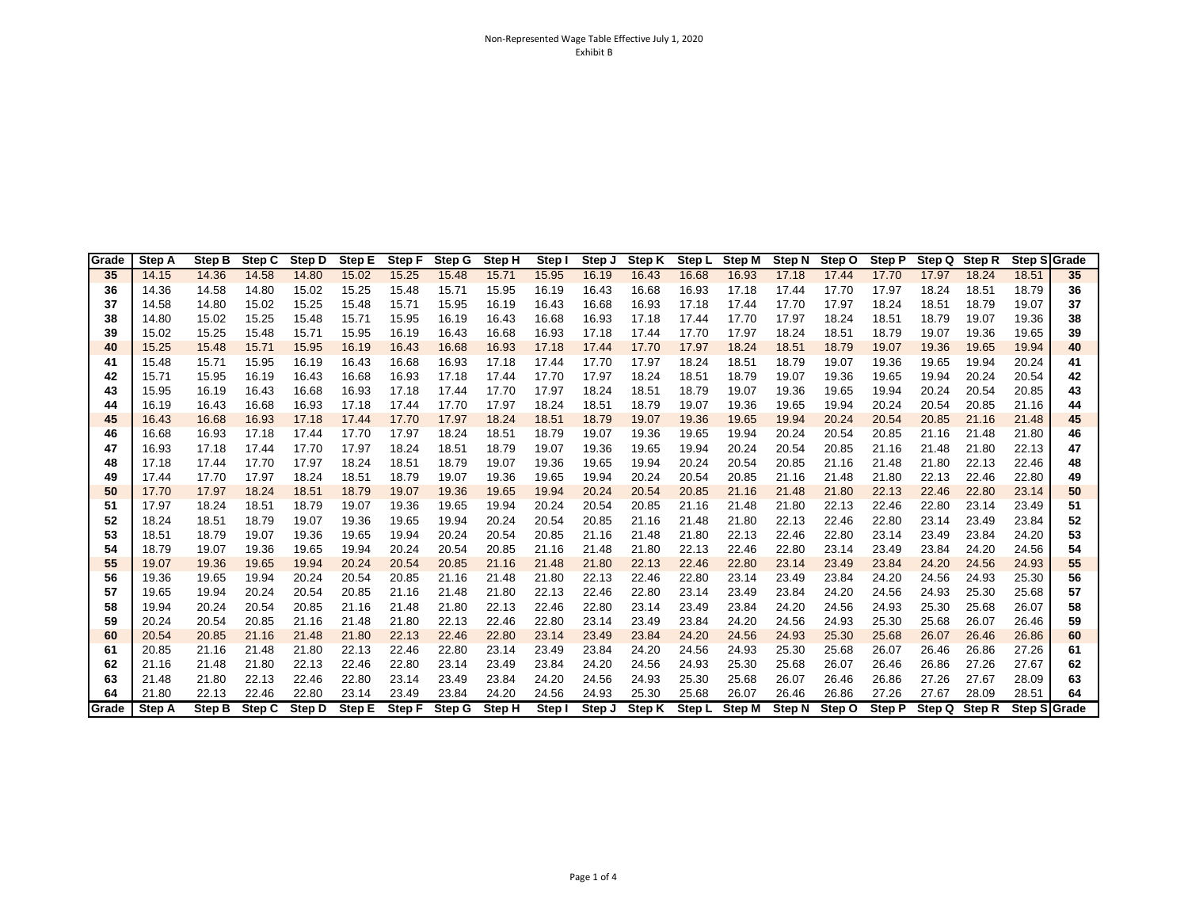| Grade | Step A | Step B        | Step C | Step D | Step E | Step F | Step G | Step H | Step I | Step J | Step K |        | Step L Step M | Step N | Step O | <b>Step P</b> | Step Q | Step R | Step S Grade |    |
|-------|--------|---------------|--------|--------|--------|--------|--------|--------|--------|--------|--------|--------|---------------|--------|--------|---------------|--------|--------|--------------|----|
| 35    | 14.15  | 14.36         | 14.58  | 14.80  | 15.02  | 15.25  | 15.48  | 15.71  | 15.95  | 16.19  | 16.43  | 16.68  | 16.93         | 17.18  | 17.44  | 17.70         | 17.97  | 18.24  | 18.51        | 35 |
| 36    | 14.36  | 14.58         | 14.80  | 15.02  | 15.25  | 15.48  | 15.71  | 15.95  | 16.19  | 16.43  | 16.68  | 16.93  | 17.18         | 17.44  | 17.70  | 17.97         | 18.24  | 18.51  | 18.79        | 36 |
| 37    | 14.58  | 14.80         | 15.02  | 15.25  | 15.48  | 15.71  | 15.95  | 16.19  | 16.43  | 16.68  | 16.93  | 17.18  | 17.44         | 17.70  | 17.97  | 18.24         | 18.51  | 18.79  | 19.07        | 37 |
| 38    | 14.80  | 15.02         | 15.25  | 15.48  | 15.71  | 15.95  | 16.19  | 16.43  | 16.68  | 16.93  | 17.18  | 17.44  | 17.70         | 17.97  | 18.24  | 18.51         | 18.79  | 19.07  | 19.36        | 38 |
| 39    | 15.02  | 15.25         | 15.48  | 15.71  | 15.95  | 16.19  | 16.43  | 16.68  | 16.93  | 17.18  | 17.44  | 17.70  | 17.97         | 18.24  | 18.51  | 18.79         | 19.07  | 19.36  | 19.65        | 39 |
| 40    | 15.25  | 15.48         | 15.71  | 15.95  | 16.19  | 16.43  | 16.68  | 16.93  | 17.18  | 17.44  | 17.70  | 17.97  | 18.24         | 18.51  | 18.79  | 19.07         | 19.36  | 19.65  | 19.94        | 40 |
| 41    | 15.48  | 15.71         | 15.95  | 16.19  | 16.43  | 16.68  | 16.93  | 17.18  | 17.44  | 17.70  | 17.97  | 18.24  | 18.51         | 18.79  | 19.07  | 19.36         | 19.65  | 19.94  | 20.24        | 41 |
| 42    | 15.71  | 15.95         | 16.19  | 16.43  | 16.68  | 16.93  | 17.18  | 17.44  | 17.70  | 17.97  | 18.24  | 18.51  | 18.79         | 19.07  | 19.36  | 19.65         | 19.94  | 20.24  | 20.54        | 42 |
| 43    | 15.95  | 16.19         | 16.43  | 16.68  | 16.93  | 17.18  | 17.44  | 17.70  | 17.97  | 18.24  | 18.51  | 18.79  | 19.07         | 19.36  | 19.65  | 19.94         | 20.24  | 20.54  | 20.85        | 43 |
| 44    | 16.19  | 16.43         | 16.68  | 16.93  | 17.18  | 17.44  | 17.70  | 17.97  | 18.24  | 18.51  | 18.79  | 19.07  | 19.36         | 19.65  | 19.94  | 20.24         | 20.54  | 20.85  | 21.16        | 44 |
| 45    | 16.43  | 16.68         | 16.93  | 17.18  | 17.44  | 17.70  | 17.97  | 18.24  | 18.51  | 18.79  | 19.07  | 19.36  | 19.65         | 19.94  | 20.24  | 20.54         | 20.85  | 21.16  | 21.48        | 45 |
| 46    | 16.68  | 16.93         | 17.18  | 17.44  | 17.70  | 17.97  | 18.24  | 18.51  | 18.79  | 19.07  | 19.36  | 19.65  | 19.94         | 20.24  | 20.54  | 20.85         | 21.16  | 21.48  | 21.80        | 46 |
| 47    | 16.93  | 17.18         | 17.44  | 17.70  | 17.97  | 18.24  | 18.51  | 18.79  | 19.07  | 19.36  | 19.65  | 19.94  | 20.24         | 20.54  | 20.85  | 21.16         | 21.48  | 21.80  | 22.13        | 47 |
| 48    | 17.18  | 17.44         | 17.70  | 17.97  | 18.24  | 18.51  | 18.79  | 19.07  | 19.36  | 19.65  | 19.94  | 20.24  | 20.54         | 20.85  | 21.16  | 21.48         | 21.80  | 22.13  | 22.46        | 48 |
| 49    | 17.44  | 17.70         | 17.97  | 18.24  | 18.51  | 18.79  | 19.07  | 19.36  | 19.65  | 19.94  | 20.24  | 20.54  | 20.85         | 21.16  | 21.48  | 21.80         | 22.13  | 22.46  | 22.80        | 49 |
| 50    | 17.70  | 17.97         | 18.24  | 18.51  | 18.79  | 19.07  | 19.36  | 19.65  | 19.94  | 20.24  | 20.54  | 20.85  | 21.16         | 21.48  | 21.80  | 22.13         | 22.46  | 22.80  | 23.14        | 50 |
| 51    | 17.97  | 18.24         | 18.51  | 18.79  | 19.07  | 19.36  | 19.65  | 19.94  | 20.24  | 20.54  | 20.85  | 21.16  | 21.48         | 21.80  | 22.13  | 22.46         | 22.80  | 23.14  | 23.49        | 51 |
| 52    | 18.24  | 18.51         | 18.79  | 19.07  | 19.36  | 19.65  | 19.94  | 20.24  | 20.54  | 20.85  | 21.16  | 21.48  | 21.80         | 22.13  | 22.46  | 22.80         | 23.14  | 23.49  | 23.84        | 52 |
| 53    | 18.51  | 18.79         | 19.07  | 19.36  | 19.65  | 19.94  | 20.24  | 20.54  | 20.85  | 21.16  | 21.48  | 21.80  | 22.13         | 22.46  | 22.80  | 23.14         | 23.49  | 23.84  | 24.20        | 53 |
| 54    | 18.79  | 19.07         | 19.36  | 19.65  | 19.94  | 20.24  | 20.54  | 20.85  | 21.16  | 21.48  | 21.80  | 22.13  | 22.46         | 22.80  | 23.14  | 23.49         | 23.84  | 24.20  | 24.56        | 54 |
| 55    | 19.07  | 19.36         | 19.65  | 19.94  | 20.24  | 20.54  | 20.85  | 21.16  | 21.48  | 21.80  | 22.13  | 22.46  | 22.80         | 23.14  | 23.49  | 23.84         | 24.20  | 24.56  | 24.93        | 55 |
| 56    | 19.36  | 19.65         | 19.94  | 20.24  | 20.54  | 20.85  | 21.16  | 21.48  | 21.80  | 22.13  | 22.46  | 22.80  | 23.14         | 23.49  | 23.84  | 24.20         | 24.56  | 24.93  | 25.30        | 56 |
| 57    | 19.65  | 19.94         | 20.24  | 20.54  | 20.85  | 21.16  | 21.48  | 21.80  | 22.13  | 22.46  | 22.80  | 23.14  | 23.49         | 23.84  | 24.20  | 24.56         | 24.93  | 25.30  | 25.68        | 57 |
| 58    | 19.94  | 20.24         | 20.54  | 20.85  | 21.16  | 21.48  | 21.80  | 22.13  | 22.46  | 22.80  | 23.14  | 23.49  | 23.84         | 24.20  | 24.56  | 24.93         | 25.30  | 25.68  | 26.07        | 58 |
| 59    | 20.24  | 20.54         | 20.85  | 21.16  | 21.48  | 21.80  | 22.13  | 22.46  | 22.80  | 23.14  | 23.49  | 23.84  | 24.20         | 24.56  | 24.93  | 25.30         | 25.68  | 26.07  | 26.46        | 59 |
| 60    | 20.54  | 20.85         | 21.16  | 21.48  | 21.80  | 22.13  | 22.46  | 22.80  | 23.14  | 23.49  | 23.84  | 24.20  | 24.56         | 24.93  | 25.30  | 25.68         | 26.07  | 26.46  | 26.86        | 60 |
| 61    | 20.85  | 21.16         | 21.48  | 21.80  | 22.13  | 22.46  | 22.80  | 23.14  | 23.49  | 23.84  | 24.20  | 24.56  | 24.93         | 25.30  | 25.68  | 26.07         | 26.46  | 26.86  | 27.26        | 61 |
| 62    | 21.16  | 21.48         | 21.80  | 22.13  | 22.46  | 22.80  | 23.14  | 23.49  | 23.84  | 24.20  | 24.56  | 24.93  | 25.30         | 25.68  | 26.07  | 26.46         | 26.86  | 27.26  | 27.67        | 62 |
| 63    | 21.48  | 21.80         | 22.13  | 22.46  | 22.80  | 23.14  | 23.49  | 23.84  | 24.20  | 24.56  | 24.93  | 25.30  | 25.68         | 26.07  | 26.46  | 26.86         | 27.26  | 27.67  | 28.09        | 63 |
| 64    | 21.80  | 22.13         | 22.46  | 22.80  | 23.14  | 23.49  | 23.84  | 24.20  | 24.56  | 24.93  | 25.30  | 25.68  | 26.07         | 26.46  | 26.86  | 27.26         | 27.67  | 28.09  | 28.51        | 64 |
| Grade | Step A | <b>Step B</b> | Step C | Step D | Step E | Step F | Step G | Step H | Step I | Step J | Step K | Step L | Step M        | Step N | Step O | <b>Step P</b> | Step Q | Step R | Step S Grade |    |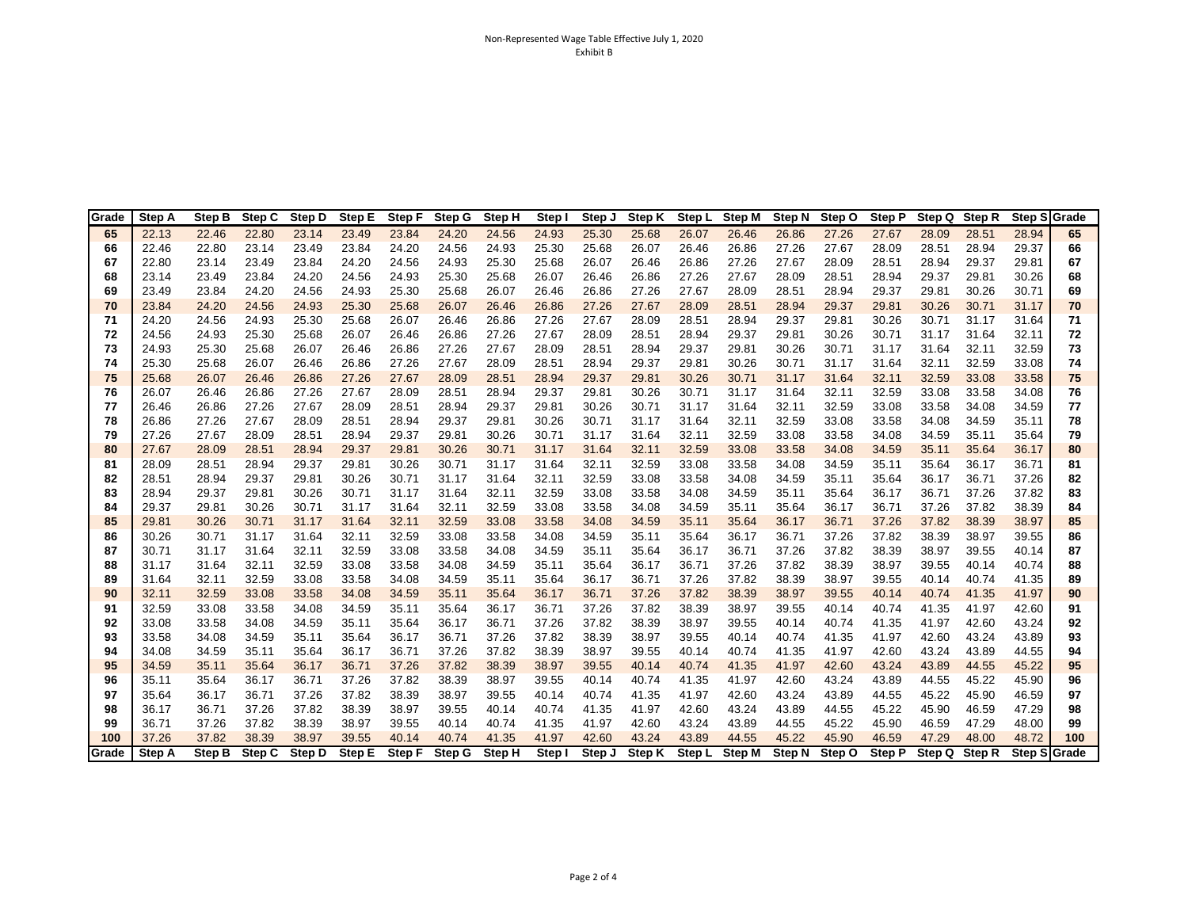| Grade | <b>Step A</b> | Step B | Step C | Step D | Step E | <b>Step F</b> | Step G | Step H | Step I | Step J | Step K        | Step L | <b>Step M</b> | Step N        | Step O | <b>Step P</b> | Step Q Step R |        | Step SGrade  |     |
|-------|---------------|--------|--------|--------|--------|---------------|--------|--------|--------|--------|---------------|--------|---------------|---------------|--------|---------------|---------------|--------|--------------|-----|
| 65    | 22.13         | 22.46  | 22.80  | 23.14  | 23.49  | 23.84         | 24.20  | 24.56  | 24.93  | 25.30  | 25.68         | 26.07  | 26.46         | 26.86         | 27.26  | 27.67         | 28.09         | 28.51  | 28.94        | 65  |
| 66    | 22.46         | 22.80  | 23.14  | 23.49  | 23.84  | 24.20         | 24.56  | 24.93  | 25.30  | 25.68  | 26.07         | 26.46  | 26.86         | 27.26         | 27.67  | 28.09         | 28.51         | 28.94  | 29.37        | 66  |
| 67    | 22.80         | 23.14  | 23.49  | 23.84  | 24.20  | 24.56         | 24.93  | 25.30  | 25.68  | 26.07  | 26.46         | 26.86  | 27.26         | 27.67         | 28.09  | 28.51         | 28.94         | 29.37  | 29.81        | 67  |
| 68    | 23.14         | 23.49  | 23.84  | 24.20  | 24.56  | 24.93         | 25.30  | 25.68  | 26.07  | 26.46  | 26.86         | 27.26  | 27.67         | 28.09         | 28.51  | 28.94         | 29.37         | 29.81  | 30.26        | 68  |
| 69    | 23.49         | 23.84  | 24.20  | 24.56  | 24.93  | 25.30         | 25.68  | 26.07  | 26.46  | 26.86  | 27.26         | 27.67  | 28.09         | 28.51         | 28.94  | 29.37         | 29.81         | 30.26  | 30.71        | 69  |
| 70    | 23.84         | 24.20  | 24.56  | 24.93  | 25.30  | 25.68         | 26.07  | 26.46  | 26.86  | 27.26  | 27.67         | 28.09  | 28.51         | 28.94         | 29.37  | 29.81         | 30.26         | 30.71  | 31.17        | 70  |
| 71    | 24.20         | 24.56  | 24.93  | 25.30  | 25.68  | 26.07         | 26.46  | 26.86  | 27.26  | 27.67  | 28.09         | 28.51  | 28.94         | 29.37         | 29.81  | 30.26         | 30.71         | 31.17  | 31.64        | 71  |
| 72    | 24.56         | 24.93  | 25.30  | 25.68  | 26.07  | 26.46         | 26.86  | 27.26  | 27.67  | 28.09  | 28.51         | 28.94  | 29.37         | 29.81         | 30.26  | 30.71         | 31.17         | 31.64  | 32.11        | 72  |
| 73    | 24.93         | 25.30  | 25.68  | 26.07  | 26.46  | 26.86         | 27.26  | 27.67  | 28.09  | 28.51  | 28.94         | 29.37  | 29.81         | 30.26         | 30.71  | 31.17         | 31.64         | 32.11  | 32.59        | 73  |
| 74    | 25.30         | 25.68  | 26.07  | 26.46  | 26.86  | 27.26         | 27.67  | 28.09  | 28.51  | 28.94  | 29.37         | 29.81  | 30.26         | 30.71         | 31.17  | 31.64         | 32.11         | 32.59  | 33.08        | 74  |
| 75    | 25.68         | 26.07  | 26.46  | 26.86  | 27.26  | 27.67         | 28.09  | 28.51  | 28.94  | 29.37  | 29.81         | 30.26  | 30.71         | 31.17         | 31.64  | 32.11         | 32.59         | 33.08  | 33.58        | 75  |
| 76    | 26.07         | 26.46  | 26.86  | 27.26  | 27.67  | 28.09         | 28.51  | 28.94  | 29.37  | 29.81  | 30.26         | 30.71  | 31.17         | 31.64         | 32.11  | 32.59         | 33.08         | 33.58  | 34.08        | 76  |
| 77    | 26.46         | 26.86  | 27.26  | 27.67  | 28.09  | 28.51         | 28.94  | 29.37  | 29.81  | 30.26  | 30.71         | 31.17  | 31.64         | 32.11         | 32.59  | 33.08         | 33.58         | 34.08  | 34.59        | 77  |
| 78    | 26.86         | 27.26  | 27.67  | 28.09  | 28.51  | 28.94         | 29.37  | 29.81  | 30.26  | 30.71  | 31.17         | 31.64  | 32.11         | 32.59         | 33.08  | 33.58         | 34.08         | 34.59  | 35.11        | 78  |
| 79    | 27.26         | 27.67  | 28.09  | 28.51  | 28.94  | 29.37         | 29.81  | 30.26  | 30.71  | 31.17  | 31.64         | 32.11  | 32.59         | 33.08         | 33.58  | 34.08         | 34.59         | 35.11  | 35.64        | 79  |
| 80    | 27.67         | 28.09  | 28.51  | 28.94  | 29.37  | 29.81         | 30.26  | 30.71  | 31.17  | 31.64  | 32.11         | 32.59  | 33.08         | 33.58         | 34.08  | 34.59         | 35.11         | 35.64  | 36.17        | 80  |
| 81    | 28.09         | 28.51  | 28.94  | 29.37  | 29.81  | 30.26         | 30.71  | 31.17  | 31.64  | 32.11  | 32.59         | 33.08  | 33.58         | 34.08         | 34.59  | 35.11         | 35.64         | 36.17  | 36.71        | 81  |
| 82    | 28.51         | 28.94  | 29.37  | 29.81  | 30.26  | 30.71         | 31.17  | 31.64  | 32.11  | 32.59  | 33.08         | 33.58  | 34.08         | 34.59         | 35.11  | 35.64         | 36.17         | 36.71  | 37.26        | 82  |
| 83    | 28.94         | 29.37  | 29.81  | 30.26  | 30.71  | 31.17         | 31.64  | 32.11  | 32.59  | 33.08  | 33.58         | 34.08  | 34.59         | 35.11         | 35.64  | 36.17         | 36.71         | 37.26  | 37.82        | 83  |
| 84    | 29.37         | 29.81  | 30.26  | 30.71  | 31.17  | 31.64         | 32.11  | 32.59  | 33.08  | 33.58  | 34.08         | 34.59  | 35.11         | 35.64         | 36.17  | 36.71         | 37.26         | 37.82  | 38.39        | 84  |
| 85    | 29.81         | 30.26  | 30.71  | 31.17  | 31.64  | 32.11         | 32.59  | 33.08  | 33.58  | 34.08  | 34.59         | 35.11  | 35.64         | 36.17         | 36.71  | 37.26         | 37.82         | 38.39  | 38.97        | 85  |
| 86    | 30.26         | 30.71  | 31.17  | 31.64  | 32.11  | 32.59         | 33.08  | 33.58  | 34.08  | 34.59  | 35.11         | 35.64  | 36.17         | 36.71         | 37.26  | 37.82         | 38.39         | 38.97  | 39.55        | 86  |
| 87    | 30.71         | 31.17  | 31.64  | 32.11  | 32.59  | 33.08         | 33.58  | 34.08  | 34.59  | 35.11  | 35.64         | 36.17  | 36.71         | 37.26         | 37.82  | 38.39         | 38.97         | 39.55  | 40.14        | 87  |
| 88    | 31.17         | 31.64  | 32.11  | 32.59  | 33.08  | 33.58         | 34.08  | 34.59  | 35.11  | 35.64  | 36.17         | 36.71  | 37.26         | 37.82         | 38.39  | 38.97         | 39.55         | 40.14  | 40.74        | 88  |
| 89    | 31.64         | 32.11  | 32.59  | 33.08  | 33.58  | 34.08         | 34.59  | 35.11  | 35.64  | 36.17  | 36.71         | 37.26  | 37.82         | 38.39         | 38.97  | 39.55         | 40.14         | 40.74  | 41.35        | 89  |
| 90    | 32.11         | 32.59  | 33.08  | 33.58  | 34.08  | 34.59         | 35.11  | 35.64  | 36.17  | 36.71  | 37.26         | 37.82  | 38.39         | 38.97         | 39.55  | 40.14         | 40.74         | 41.35  | 41.97        | 90  |
| 91    | 32.59         | 33.08  | 33.58  | 34.08  | 34.59  | 35.11         | 35.64  | 36.17  | 36.71  | 37.26  | 37.82         | 38.39  | 38.97         | 39.55         | 40.14  | 40.74         | 41.35         | 41.97  | 42.60        | 91  |
| 92    | 33.08         | 33.58  | 34.08  | 34.59  | 35.11  | 35.64         | 36.17  | 36.71  | 37.26  | 37.82  | 38.39         | 38.97  | 39.55         | 40.14         | 40.74  | 41.35         | 41.97         | 42.60  | 43.24        | 92  |
| 93    | 33.58         | 34.08  | 34.59  | 35.11  | 35.64  | 36.17         | 36.71  | 37.26  | 37.82  | 38.39  | 38.97         | 39.55  | 40.14         | 40.74         | 41.35  | 41.97         | 42.60         | 43.24  | 43.89        | 93  |
| 94    | 34.08         | 34.59  | 35.11  | 35.64  | 36.17  | 36.71         | 37.26  | 37.82  | 38.39  | 38.97  | 39.55         | 40.14  | 40.74         | 41.35         | 41.97  | 42.60         | 43.24         | 43.89  | 44.55        | 94  |
| 95    | 34.59         | 35.11  | 35.64  | 36.17  | 36.71  | 37.26         | 37.82  | 38.39  | 38.97  | 39.55  | 40.14         | 40.74  | 41.35         | 41.97         | 42.60  | 43.24         | 43.89         | 44.55  | 45.22        | 95  |
| 96    | 35.11         | 35.64  | 36.17  | 36.71  | 37.26  | 37.82         | 38.39  | 38.97  | 39.55  | 40.14  | 40.74         | 41.35  | 41.97         | 42.60         | 43.24  | 43.89         | 44.55         | 45.22  | 45.90        | 96  |
| 97    | 35.64         | 36.17  | 36.71  | 37.26  | 37.82  | 38.39         | 38.97  | 39.55  | 40.14  | 40.74  | 41.35         | 41.97  | 42.60         | 43.24         | 43.89  | 44.55         | 45.22         | 45.90  | 46.59        | 97  |
| 98    | 36.17         | 36.71  | 37.26  | 37.82  | 38.39  | 38.97         | 39.55  | 40.14  | 40.74  | 41.35  | 41.97         | 42.60  | 43.24         | 43.89         | 44.55  | 45.22         | 45.90         | 46.59  | 47.29        | 98  |
| 99    | 36.71         | 37.26  | 37.82  | 38.39  | 38.97  | 39.55         | 40.14  | 40.74  | 41.35  | 41.97  | 42.60         | 43.24  | 43.89         | 44.55         | 45.22  | 45.90         | 46.59         | 47.29  | 48.00        | 99  |
| 100   | 37.26         | 37.82  | 38.39  | 38.97  | 39.55  | 40.14         | 40.74  | 41.35  | 41.97  | 42.60  | 43.24         | 43.89  | 44.55         | 45.22         | 45.90  | 46.59         | 47.29         | 48.00  | 48.72        | 100 |
| Grade | Step A        | Step B | Step C | Step D | Step E | Step F        | Step G | Step H | Step I | Step J | <b>Step K</b> | Step L | <b>Step M</b> | <b>Step N</b> | Step O | Step P        | Step Q        | Step R | Step S Grade |     |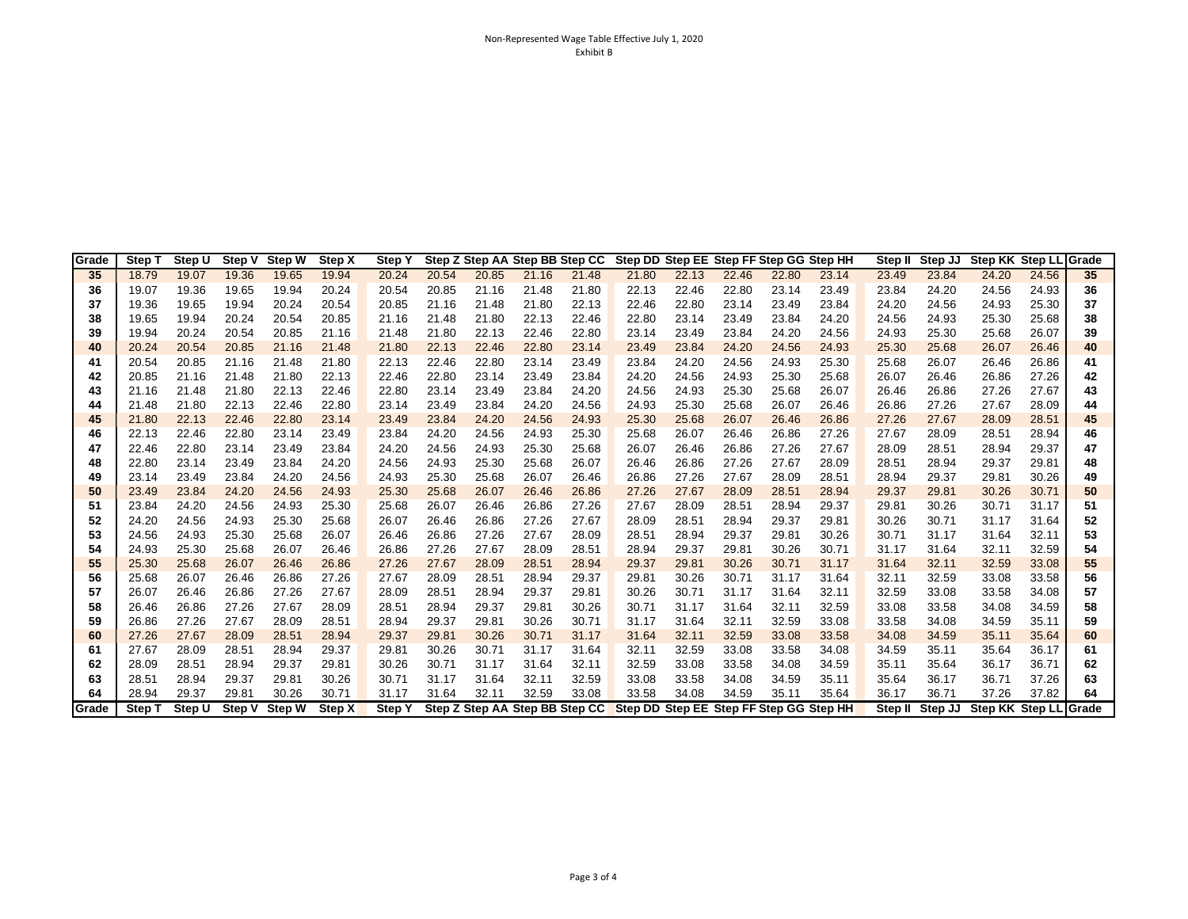| Grade | Step T        | Step U | Step V | <b>Step W</b> | Step X | <b>Step Y</b> |       |                                |       |       | Step Z Step AA Step BB Step CC Step DD Step EE Step FF Step GG Step HH |       |       |       |       | Step II | Step JJ | Step KK Step LL Grade |       |    |
|-------|---------------|--------|--------|---------------|--------|---------------|-------|--------------------------------|-------|-------|------------------------------------------------------------------------|-------|-------|-------|-------|---------|---------|-----------------------|-------|----|
| 35    | 18.79         | 19.07  | 19.36  | 19.65         | 19.94  | 20.24         | 20.54 | 20.85                          | 21.16 | 21.48 | 21.80                                                                  | 22.13 | 22.46 | 22.80 | 23.14 | 23.49   | 23.84   | 24.20                 | 24.56 | 35 |
| 36    | 19.07         | 19.36  | 19.65  | 19.94         | 20.24  | 20.54         | 20.85 | 21.16                          | 21.48 | 21.80 | 22.13                                                                  | 22.46 | 22.80 | 23.14 | 23.49 | 23.84   | 24.20   | 24.56                 | 24.93 | 36 |
| 37    | 19.36         | 19.65  | 19.94  | 20.24         | 20.54  | 20.85         | 21.16 | 21.48                          | 21.80 | 22.13 | 22.46                                                                  | 22.80 | 23.14 | 23.49 | 23.84 | 24.20   | 24.56   | 24.93                 | 25.30 | 37 |
| 38    | 19.65         | 19.94  | 20.24  | 20.54         | 20.85  | 21.16         | 21.48 | 21.80                          | 22.13 | 22.46 | 22.80                                                                  | 23.14 | 23.49 | 23.84 | 24.20 | 24.56   | 24.93   | 25.30                 | 25.68 | 38 |
| 39    | 19.94         | 20.24  | 20.54  | 20.85         | 21.16  | 21.48         | 21.80 | 22.13                          | 22.46 | 22.80 | 23.14                                                                  | 23.49 | 23.84 | 24.20 | 24.56 | 24.93   | 25.30   | 25.68                 | 26.07 | 39 |
| 40    | 20.24         | 20.54  | 20.85  | 21.16         | 21.48  | 21.80         | 22.13 | 22.46                          | 22.80 | 23.14 | 23.49                                                                  | 23.84 | 24.20 | 24.56 | 24.93 | 25.30   | 25.68   | 26.07                 | 26.46 | 40 |
| 41    | 20.54         | 20.85  | 21.16  | 21.48         | 21.80  | 22.13         | 22.46 | 22.80                          | 23.14 | 23.49 | 23.84                                                                  | 24.20 | 24.56 | 24.93 | 25.30 | 25.68   | 26.07   | 26.46                 | 26.86 | 41 |
| 42    | 20.85         | 21.16  | 21.48  | 21.80         | 22.13  | 22.46         | 22.80 | 23.14                          | 23.49 | 23.84 | 24.20                                                                  | 24.56 | 24.93 | 25.30 | 25.68 | 26.07   | 26.46   | 26.86                 | 27.26 | 42 |
| 43    | 21.16         | 21.48  | 21.80  | 22.13         | 22.46  | 22.80         | 23.14 | 23.49                          | 23.84 | 24.20 | 24.56                                                                  | 24.93 | 25.30 | 25.68 | 26.07 | 26.46   | 26.86   | 27.26                 | 27.67 | 43 |
| 44    | 21.48         | 21.80  | 22.13  | 22.46         | 22.80  | 23.14         | 23.49 | 23.84                          | 24.20 | 24.56 | 24.93                                                                  | 25.30 | 25.68 | 26.07 | 26.46 | 26.86   | 27.26   | 27.67                 | 28.09 | 44 |
| 45    | 21.80         | 22.13  | 22.46  | 22.80         | 23.14  | 23.49         | 23.84 | 24.20                          | 24.56 | 24.93 | 25.30                                                                  | 25.68 | 26.07 | 26.46 | 26.86 | 27.26   | 27.67   | 28.09                 | 28.51 | 45 |
| 46    | 22.13         | 22.46  | 22.80  | 23.14         | 23.49  | 23.84         | 24.20 | 24.56                          | 24.93 | 25.30 | 25.68                                                                  | 26.07 | 26.46 | 26.86 | 27.26 | 27.67   | 28.09   | 28.51                 | 28.94 | 46 |
| 47    | 22.46         | 22.80  | 23.14  | 23.49         | 23.84  | 24.20         | 24.56 | 24.93                          | 25.30 | 25.68 | 26.07                                                                  | 26.46 | 26.86 | 27.26 | 27.67 | 28.09   | 28.51   | 28.94                 | 29.37 | 47 |
| 48    | 22.80         | 23.14  | 23.49  | 23.84         | 24.20  | 24.56         | 24.93 | 25.30                          | 25.68 | 26.07 | 26.46                                                                  | 26.86 | 27.26 | 27.67 | 28.09 | 28.51   | 28.94   | 29.37                 | 29.81 | 48 |
| 49    | 23.14         | 23.49  | 23.84  | 24.20         | 24.56  | 24.93         | 25.30 | 25.68                          | 26.07 | 26.46 | 26.86                                                                  | 27.26 | 27.67 | 28.09 | 28.51 | 28.94   | 29.37   | 29.81                 | 30.26 | 49 |
| 50    | 23.49         | 23.84  | 24.20  | 24.56         | 24.93  | 25.30         | 25.68 | 26.07                          | 26.46 | 26.86 | 27.26                                                                  | 27.67 | 28.09 | 28.51 | 28.94 | 29.37   | 29.81   | 30.26                 | 30.71 | 50 |
| 51    | 23.84         | 24.20  | 24.56  | 24.93         | 25.30  | 25.68         | 26.07 | 26.46                          | 26.86 | 27.26 | 27.67                                                                  | 28.09 | 28.51 | 28.94 | 29.37 | 29.81   | 30.26   | 30.71                 | 31.17 | 51 |
| 52    | 24.20         | 24.56  | 24.93  | 25.30         | 25.68  | 26.07         | 26.46 | 26.86                          | 27.26 | 27.67 | 28.09                                                                  | 28.51 | 28.94 | 29.37 | 29.81 | 30.26   | 30.71   | 31.17                 | 31.64 | 52 |
| 53    | 24.56         | 24.93  | 25.30  | 25.68         | 26.07  | 26.46         | 26.86 | 27.26                          | 27.67 | 28.09 | 28.51                                                                  | 28.94 | 29.37 | 29.81 | 30.26 | 30.71   | 31.17   | 31.64                 | 32.11 |    |
| 54    | 24.93         | 25.30  | 25.68  | 26.07         | 26.46  | 26.86         | 27.26 | 27.67                          | 28.09 | 28.51 | 28.94                                                                  | 29.37 | 29.81 | 30.26 | 30.71 | 31.17   | 31.64   | 32.11                 | 32.59 | 54 |
| 55    | 25.30         | 25.68  | 26.07  | 26.46         | 26.86  | 27.26         | 27.67 | 28.09                          | 28.51 | 28.94 | 29.37                                                                  | 29.81 | 30.26 | 30.71 | 31.17 | 31.64   | 32.11   | 32.59                 | 33.08 | 55 |
| 56    | 25.68         | 26.07  | 26.46  | 26.86         | 27.26  | 27.67         | 28.09 | 28.51                          | 28.94 | 29.37 | 29.81                                                                  | 30.26 | 30.71 | 31.17 | 31.64 | 32.11   | 32.59   | 33.08                 | 33.58 | 56 |
| 57    | 26.07         | 26.46  | 26.86  | 27.26         | 27.67  | 28.09         | 28.51 | 28.94                          | 29.37 | 29.81 | 30.26                                                                  | 30.71 | 31.17 | 31.64 | 32.11 | 32.59   | 33.08   | 33.58                 | 34.08 | 57 |
| 58    | 26.46         | 26.86  | 27.26  | 27.67         | 28.09  | 28.51         | 28.94 | 29.37                          | 29.81 | 30.26 | 30.71                                                                  | 31.17 | 31.64 | 32.11 | 32.59 | 33.08   | 33.58   | 34.08                 | 34.59 | 58 |
| 59    | 26.86         | 27.26  | 27.67  | 28.09         | 28.51  | 28.94         | 29.37 | 29.81                          | 30.26 | 30.71 | 31.17                                                                  | 31.64 | 32.11 | 32.59 | 33.08 | 33.58   | 34.08   | 34.59                 | 35.11 | 59 |
| 60    | 27.26         | 27.67  | 28.09  | 28.51         | 28.94  | 29.37         | 29.81 | 30.26                          | 30.71 | 31.17 | 31.64                                                                  | 32.11 | 32.59 | 33.08 | 33.58 | 34.08   | 34.59   | 35.11                 | 35.64 | 60 |
| 61    | 27.67         | 28.09  | 28.51  | 28.94         | 29.37  | 29.81         | 30.26 | 30.71                          | 31.17 | 31.64 | 32.11                                                                  | 32.59 | 33.08 | 33.58 | 34.08 | 34.59   | 35.11   | 35.64                 | 36.17 | 61 |
| 62    | 28.09         | 28.51  | 28.94  | 29.37         | 29.81  | 30.26         | 30.71 | 31.17                          | 31.64 | 32.11 | 32.59                                                                  | 33.08 | 33.58 | 34.08 | 34.59 | 35.11   | 35.64   | 36.17                 | 36.71 | 62 |
| 63    | 28.51         | 28.94  | 29.37  | 29.81         | 30.26  | 30.71         | 31.17 | 31.64                          | 32.11 | 32.59 | 33.08                                                                  | 33.58 | 34.08 | 34.59 | 35.11 | 35.64   | 36.17   | 36.71                 | 37.26 | 63 |
| 64    | 28.94         | 29.37  | 29.81  | 30.26         | 30.71  | 31.17         | 31.64 | 32.11                          | 32.59 | 33.08 | 33.58                                                                  | 34.08 | 34.59 | 35.11 | 35.64 | 36.17   | 36.71   | 37.26                 | 37.82 | 64 |
| Grade | <b>Step T</b> | Step U | Step V | Step W        | Step X | Step Y        |       | Step Z Step AA Step BB Step CC |       |       | Step DD Step EE Step FF Step GG Step HH                                |       |       |       |       | Step II | Step JJ | Step KK Step LL Grade |       |    |